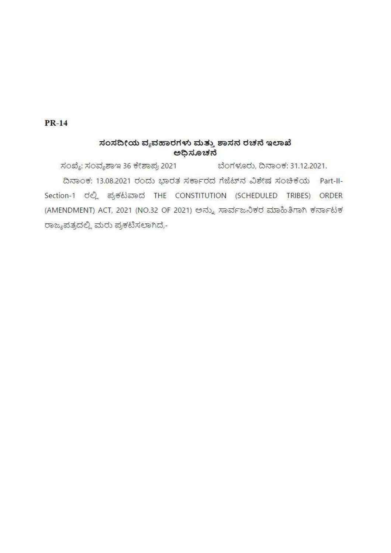$PR-14$ 

## ಸಂಸದೀಯ ವ್ಯವಹಾರಗಳು ಮತ್ತು ಶಾಸನ ರಚನೆ ಇಲಾಖೆ ಅಧಿಸೂಚನೆ

ಸಂಖ್ಯೆ: ಸಂವ್ಯಶಾಇ 36 ಕೇಶಾಪ್ರ 2021 ಬೆಂಗಳೂರು, ದಿನಾಂಕ: 31.12.2021. ದಿನಾಂಕ: 13.08.2021 ರಂದು ಭಾರತ ಸರ್ಕಾರದ ಗೆಜೆಟ್ ನ ವಿಶೇಷ ಸಂಚಿಕೆಯ Part-II-Section-1 ರಲ್ಲಿ ಪ್ರಕಟವಾದ THE CONSTITUTION (SCHEDULED TRIBES) ORDER (AMENDMENT) ACT, 2021 (NO.32 OF 2021) ಅನ್ನು ಸಾರ್ವಜನಿಕರ ಮಾಹಿತಿಗಾಗಿ ಕರ್ನಾಟಕ ರಾಜ್ಯಪತ್ರದಲ್ಲಿ ಮರು ಪ್ರಕಟಿಸಲಾಗಿದೆ,-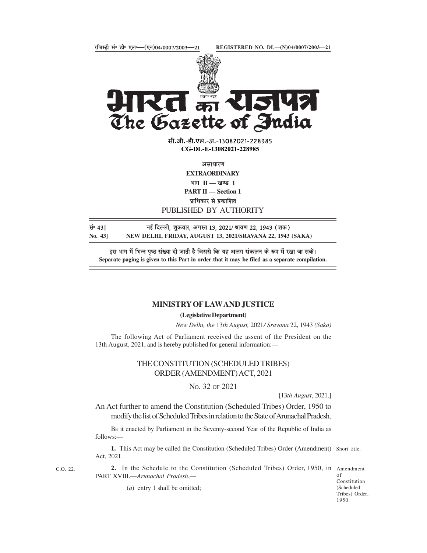



सी.जी.-डी.एल.-अ.-13082021-228985 CG-DL-E-13082021-228985

**EXTRAORDINARY** भाग $II$   $-$  खण्ड 1 PART II - Section 1

PUBLISHED BY AUTHORITY

सं॰ 43] बई दिल्ली, शुक्रवार, अगस्त 13, 2021/ श्रावण 22, 1943 (शक)

Separate paging is given to this Part in order that it may be filed as a separate compilation.

## MINISTRY OF LAW AND JUSTICE

(Legislative Department)

New Delhi, the 13th August, 2021/ Sravana 22, 1943 (Saka)

The following Act of Parliament received the assent of the President on the 13th August, 2021, and is hereby published for general information:—

## THE CONSTITUTION (SCHEDULED TRIBES) ORDER (AMENDMENT) ACT, 2021

NO. 32 OF 2021

[13th August, 2021.]

An Act further to amend the Constitution (Scheduled Tribes) Order, 1950 to modify the list of Scheduled Tribes in relation to the State of Arunachal Pradesh.

BE it enacted by Parliament in the Seventy-second Year of the Republic of India as follows:—

1. This Act may be called the Constitution (Scheduled Tribes) Order (Amendment) Short title. Act, 2021.

c.o. 22. **2.** In the Schedule to the Constitution (Scheduled Tribes) Order, 1950, in Amendment PART XVIII.—Arunachal Pradesh,—

of Constitution (Scheduled Tribes) Order, 1950.

(*a*) entry 1 shall be omitted;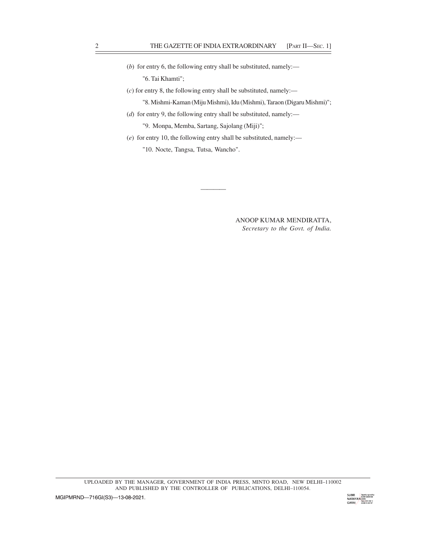- (b) for entry 6, the following entry shall be substituted, namely:— "6. Tai Khamti"; THE GAZETTE OF INDIA EXTRAORDINARY [PART II—SEC. 1]<br>
(b) for entry 6, the following entry shall be substituted, namely:—<br>
"6. Tai Khamti";<br>
(c) for entry 8, the following entry shall be substituted, namely:—
	- $(c)$  for entry 8, the following entry shall be substituted, namely:— "8. Mishmi-Kaman (Miju Mishmi), Idu (Mishmi), Taraon (Digaru Mishmi)";
	- ( $d$ ) for entry 9, the following entry shall be substituted, namely:— "9. Monpa, Memba, Sartang, Sajolang (Miji)";
	- (e) for entry 10, the following entry shall be substituted, namely:— "10. Nocte, Tangsa, Tutsa, Wancho".

ANOOP KUMAR MENDIRATTA, Secretary to the Govt. of India.

and the contract of the contract of the contract of the contract of the contract of the contract of the contra<br>And the contract of the contract of the contract of the contract of the contract of the contract of the contra

UPLOADED BY THE MANAGER, GOVERNMENT OF INDIA PRESS, MINTO ROAD, NEW DELHI–110002 AND PUBLISHED BY THE CONTROLLER OF PUBLICATIONS, DELHI–110054.